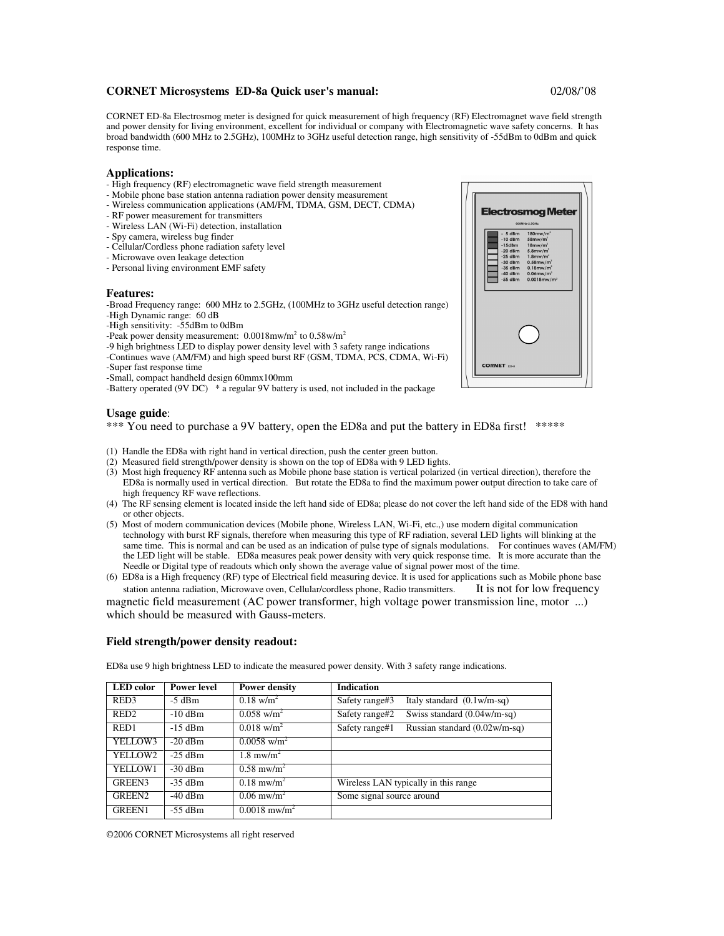# **CORNET Microsystems ED-8a Quick user's manual:** 02/08/'08

CORNET ED-8a Electrosmog meter is designed for quick measurement of high frequency (RF) Electromagnet wave field strength and power density for living environment, excellent for individual or company with Electromagnetic wave safety concerns. It has broad bandwidth (600 MHz to 2.5GHz), 100MHz to 3GHz useful detection range, high sensitivity of -55dBm to 0dBm and quick response time.

### **Applications:**

- High frequency (RF) electromagnetic wave field strength measurement
- Mobile phone base station antenna radiation power density measurement
- Wireless communication applications (AM/FM, TDMA, GSM, DECT, CDMA)
- RF power measurement for transmitters
- Wireless LAN (Wi-Fi) detection, installation
- Spy camera, wireless bug finder
- Cellular/Cordless phone radiation safety level
- Microwave oven leakage detection
- Personal living environment EMF safety

#### **Features:**

-Broad Frequency range: 600 MHz to 2.5GHz, (100MHz to 3GHz useful detection range) -High Dynamic range: 60 dB

- -High sensitivity: -55dBm to 0dBm
- -Peak power density measurement:  $0.0018$ mw/m<sup>2</sup> to  $0.58$ w/m<sup>2</sup>

-9 high brightness LED to display power density level with 3 safety range indications

- -Continues wave (AM/FM) and high speed burst RF (GSM, TDMA, PCS, CDMA, Wi-Fi)
- -Super fast response time
- -Small, compact handheld design 60mmx100mm

-Battery operated (9V DC) \* a regular 9V battery is used, not included in the package

### **Usage guide**:

\*\*\* You need to purchase a 9V battery, open the ED8a and put the battery in ED8a first! \*\*\*\*\*

- (1) Handle the ED8a with right hand in vertical direction, push the center green button.
- (2) Measured field strength/power density is shown on the top of ED8a with 9 LED lights.
- (3) Most high frequency RF antenna such as Mobile phone base station is vertical polarized (in vertical direction), therefore the ED8a is normally used in vertical direction. But rotate the ED8a to find the maximum power output direction to take care of high frequency RF wave reflections.
- (4) The RF sensing element is located inside the left hand side of ED8a; please do not cover the left hand side of the ED8 with hand or other objects.
- (5) Most of modern communication devices (Mobile phone, Wireless LAN, Wi-Fi, etc.,) use modern digital communication technology with burst RF signals, therefore when measuring this type of RF radiation, several LED lights will blinking at the same time. This is normal and can be used as an indication of pulse type of signals modulations. For continues waves (AM/FM) the LED light will be stable. ED8a measures peak power density with very quick response time. It is more accurate than the Needle or Digital type of readouts which only shown the average value of signal power most of the time.
- (6) ED8a is a High frequency (RF) type of Electrical field measuring device. It is used for applications such as Mobile phone base station antenna radiation, Microwave oven, Cellular/cordless phone, Radio transmitters. It is not for low frequency

magnetic field measurement (AC power transformer, high voltage power transmission line, motor ...) which should be measured with Gauss-meters.

## **Field strength/power density readout:**

| <b>LED</b> color   | <b>Power level</b> | <b>Power density</b>              | <b>Indication</b>                                       |  |
|--------------------|--------------------|-----------------------------------|---------------------------------------------------------|--|
| RED <sub>3</sub>   | $-5$ dBm           | $0.18$ w/m <sup>2</sup>           | Italy standard $(0.1 \text{w/m-sq})$<br>Safety range#3  |  |
| RED <sub>2</sub>   | $-10$ dBm          | $0.058$ w/m <sup>2</sup>          | Swiss standard $(0.04 \text{w/m-sq})$<br>Safety range#2 |  |
| RED <sub>1</sub>   | $-15$ dBm          | $0.018$ w/m <sup>2</sup>          | Russian standard (0.02w/m-sq)<br>Safety range#1         |  |
| YELLOW3            | $-20$ dBm          | $0.0058$ w/m <sup>2</sup>         |                                                         |  |
| YELLOW2            | $-25$ dBm          | $1.8 \text{ m}$ w/m <sup>2</sup>  |                                                         |  |
| YELLOW1            | $-30$ dBm          | $0.58 \text{ m}$ w/m <sup>2</sup> |                                                         |  |
| <b>GREEN3</b>      | $-35$ dBm          | $0.18 \text{ m}$ W/m <sup>2</sup> | Wireless LAN typically in this range                    |  |
| GREEN <sub>2</sub> | $-40$ dBm          | $0.06$ mw/m <sup>2</sup>          | Some signal source around                               |  |
| <b>GREEN1</b>      | $-55$ dBm          | $0.0018$ mw/m <sup>2</sup>        |                                                         |  |

ED8a use 9 high brightness LED to indicate the measured power density. With 3 safety range indications.



<sup>©2006</sup> CORNET Microsystems all right reserved